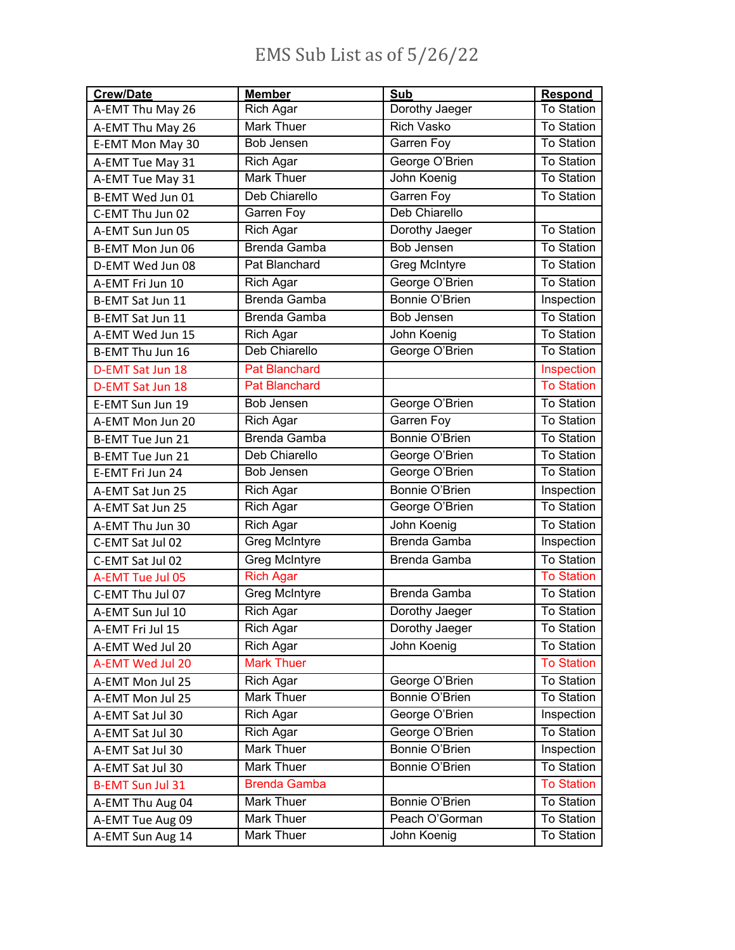## EMS Sub List as of 5/26/22

| <b>Crew/Date</b>        | <b>Member</b>        | Sub                   | <b>Respond</b>    |
|-------------------------|----------------------|-----------------------|-------------------|
| A-EMT Thu May 26        | Rich Agar            | Dorothy Jaeger        | To Station        |
| A-EMT Thu May 26        | Mark Thuer           | <b>Rich Vasko</b>     | <b>To Station</b> |
| E-EMT Mon May 30        | Bob Jensen           | Garren Foy            | <b>To Station</b> |
| A-EMT Tue May 31        | Rich Agar            | George O'Brien        | <b>To Station</b> |
| A-EMT Tue May 31        | Mark Thuer           | John Koenig           | <b>To Station</b> |
| B-EMT Wed Jun 01        | Deb Chiarello        | Garren Foy            | <b>To Station</b> |
| C-EMT Thu Jun 02        | Garren Foy           | Deb Chiarello         |                   |
| A-EMT Sun Jun 05        | Rich Agar            | Dorothy Jaeger        | <b>To Station</b> |
| B-EMT Mon Jun 06        | Brenda Gamba         | <b>Bob Jensen</b>     | <b>To Station</b> |
| D-EMT Wed Jun 08        | Pat Blanchard        | Greg McIntyre         | <b>To Station</b> |
| A-EMT Fri Jun 10        | <b>Rich Agar</b>     | George O'Brien        | <b>To Station</b> |
| B-EMT Sat Jun 11        | Brenda Gamba         | Bonnie O'Brien        | Inspection        |
| B-EMT Sat Jun 11        | <b>Brenda Gamba</b>  | Bob Jensen            | <b>To Station</b> |
| A-EMT Wed Jun 15        | Rich Agar            | John Koenig           | To Station        |
| B-EMT Thu Jun 16        | Deb Chiarello        | George O'Brien        | <b>To Station</b> |
| D-EMT Sat Jun 18        | <b>Pat Blanchard</b> |                       | Inspection        |
| D-EMT Sat Jun 18        | <b>Pat Blanchard</b> |                       | <b>To Station</b> |
| E-EMT Sun Jun 19        | Bob Jensen           | George O'Brien        | <b>To Station</b> |
| A-EMT Mon Jun 20        | Rich Agar            | <b>Garren Foy</b>     | <b>To Station</b> |
| B-EMT Tue Jun 21        | Brenda Gamba         | Bonnie O'Brien        | <b>To Station</b> |
| B-EMT Tue Jun 21        | Deb Chiarello        | George O'Brien        | <b>To Station</b> |
| E-EMT Fri Jun 24        | Bob Jensen           | George O'Brien        | <b>To Station</b> |
| A-EMT Sat Jun 25        | Rich Agar            | <b>Bonnie O'Brien</b> | Inspection        |
| A-EMT Sat Jun 25        | Rich Agar            | George O'Brien        | <b>To Station</b> |
| A-EMT Thu Jun 30        | Rich Agar            | John Koenig           | <b>To Station</b> |
| C-EMT Sat Jul 02        | Greg McIntyre        | Brenda Gamba          | Inspection        |
| C-EMT Sat Jul 02        | Greg McIntyre        | Brenda Gamba          | <b>To Station</b> |
| A-EMT Tue Jul 05        | <b>Rich Agar</b>     |                       | <b>To Station</b> |
| C-EMT Thu Jul 07        | <b>Greg McIntyre</b> | <b>Brenda Gamba</b>   | <b>To Station</b> |
| A-EMT Sun Jul 10        | Rich Agar            | Dorothy Jaeger        | <b>To Station</b> |
| A-EMT Fri Jul 15        | Rich Agar            | Dorothy Jaeger        | To Station        |
| A-EMT Wed Jul 20        | <b>Rich Agar</b>     | John Koenig           | <b>To Station</b> |
| A-EMT Wed Jul 20        | <b>Mark Thuer</b>    |                       | <b>To Station</b> |
| A-EMT Mon Jul 25        | Rich Agar            | George O'Brien        | <b>To Station</b> |
| A-EMT Mon Jul 25        | Mark Thuer           | Bonnie O'Brien        | <b>To Station</b> |
| A-EMT Sat Jul 30        | <b>Rich Agar</b>     | George O'Brien        | Inspection        |
| A-EMT Sat Jul 30        | <b>Rich Agar</b>     | George O'Brien        | <b>To Station</b> |
| A-EMT Sat Jul 30        | Mark Thuer           | Bonnie O'Brien        | Inspection        |
| A-EMT Sat Jul 30        | Mark Thuer           | Bonnie O'Brien        | <b>To Station</b> |
| <b>B-EMT Sun Jul 31</b> | <b>Brenda Gamba</b>  |                       | <b>To Station</b> |
| A-EMT Thu Aug 04        | Mark Thuer           | Bonnie O'Brien        | <b>To Station</b> |
| A-EMT Tue Aug 09        | Mark Thuer           | Peach O'Gorman        | <b>To Station</b> |
| A-EMT Sun Aug 14        | Mark Thuer           | John Koenig           | To Station        |